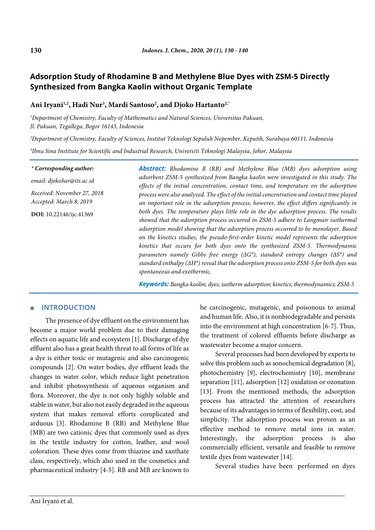# **Adsorption Study of Rhodamine B and Methylene Blue Dyes with ZSM-5 Directly Synthesized from Bangka Kaolin without Organic Template**

Ani Iryani<sup>1,2</sup>, Hadi Nur<sup>3</sup>, Mardi Santoso<sup>2</sup>, and Djoko Hartanto<sup>2,\*</sup>

*1 Department of Chemistry, Faculty of Mathematics and Natural Sciences, Universitas Pakuan, Jl. Pakuan, Tegallega, Bogor 16143, Indonesia*

*2 Department of Chemistry, Faculty of Sciences, Institut Teknologi Sepuluh Nopember, Keputih, Surabaya 60111, Indonesia*

*3 Ibnu Sina Institute for Scientific and Industrial Research, Universiti Teknologi Malaysia, Johor, Malaysia*

*\* Corresponding author:*

*email: djokohar@its.ac.id*

*Received: November 27, 2018 Accepted: March 8, 2019*

**DOI:** 10.22146/ijc.41369

*Abstract: Rhodamine B (RB) and Methylene Blue (MB) dyes adsorption using adsorbent ZSM-5 synthesized from Bangka kaolin were investigated in this study. The effects of the initial concentration, contact time, and temperature on the adsorption process were also analyzed. The effect of the initial concentration and contact time played an important role in the adsorption process; however, the effect differs significantly in both dyes. The temperature plays little role in the dye adsorption process. The results showed that the adsorption process occurred in ZSM-5 adhere to Langmuir isothermal adsorption model showing that the adsorption process occurred to be monolayer. Based on the kinetics studies, the pseudo-first-order kinetic model represents the adsorption kinetics that occurs for both dyes onto the synthesized ZSM-5. Thermodynamic parameters namely Gibbs free energy (ΔG°), standard entropy changes (ΔS°) and standard enthalpy (ΔH°) reveal that the adsorption process onto ZSM-5 for both dyes was spontaneous and exothermic.*

*Keywords: Bangka kaolin; dyes; isotherm adsorption; kinetics; thermodynamics; ZSM-5*

# ■ **INTRODUCTION**

The presence of dye effluent on the environment has become a major world problem due to their damaging effects on aquatic life and ecosystem [1]. Discharge of dye effluent also has a great health threat to all forms of life as a dye is either toxic or mutagenic and also carcinogenic compounds [2]. On water bodies, dye effluent leads the changes in water color, which reduce light penetration and inhibit photosynthesis of aqueous organism and flora. Moreover, the dye is not only highly soluble and stable in water, but also not easily degraded in the aqueous system that makes removal efforts complicated and arduous [3]. Rhodamine B (RB) and Methylene Blue (MB) are two cationic dyes that commonly used as dyes in the textile industry for cotton, leather, and wool coloration. These dyes come from thiazine and xanthate class, respectively, which also used in the cosmetics and pharmaceutical industry [4-5]. RB and MB are known to be carcinogenic, mutagenic, and poisonous to animal and human life. Also, it is nonbiodegradable and persists into the environment at high concentration [6-7]. Thus, the treatment of colored effluents before discharge as wastewater become a major concern.

Several processes had been developed by experts to solve this problem such as sonochemical degradation [8], photochemistry [9], electrochemistry [10], membrane separation [11], adsorption [12] oxidation or ozonation [13]. From the mentioned methods, the adsorption process has attracted the attention of researchers because of its advantages in terms of flexibility, cost, and simplicity. The adsorption process was proven as an effective method to remove metal ions in water. Interestingly, the adsorption process is also commercially efficient, versatile and feasible to remove textile dyes from wastewater [14].

Several studies have been performed on dyes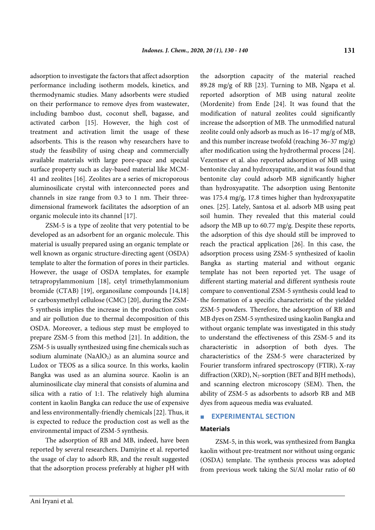adsorption to investigate the factors that affect adsorption performance including isotherm models, kinetics, and thermodynamic studies. Many adsorbents were studied on their performance to remove dyes from wastewater, including bamboo dust, coconut shell, bagasse, and activated carbon [15]. However, the high cost of treatment and activation limit the usage of these adsorbents. This is the reason why researchers have to study the feasibility of using cheap and commercially available materials with large pore-space and special surface property such as clay-based material like MCM-41 and zeolites [16]. Zeolites are a series of microporous aluminosilicate crystal with interconnected pores and channels in size range from 0.3 to 1 nm. Their threedimensional framework facilitates the adsorption of an organic molecule into its channel [17].

ZSM-5 is a type of zeolite that very potential to be developed as an adsorbent for an organic molecule. This material is usually prepared using an organic template or well known as organic structure-directing agent (OSDA) template to alter the formation of pores in their particles. However, the usage of OSDA templates, for example tetrapropylammonium [18], cetyl trimethylammonium bromide (CTAB) [19], organosilane compounds [14,18] or carboxymethyl cellulose (CMC) [20], during the ZSM-5 synthesis implies the increase in the production costs and air pollution due to thermal decomposition of this OSDA. Moreover, a tedious step must be employed to prepare ZSM-5 from this method [21]. In addition, the ZSM-5 is usually synthesized using fine chemicals such as sodium aluminate ( $NAAIO<sub>2</sub>$ ) as an alumina source and Ludox or TEOS as a silica source. In this works, kaolin Bangka was used as an alumina source. Kaolin is an aluminosilicate clay mineral that consists of alumina and silica with a ratio of 1:1. The relatively high alumina content in kaolin Bangka can reduce the use of expensive and less environmentally-friendly chemicals [22]. Thus, it is expected to reduce the production cost as well as the environmental impact of ZSM-5 synthesis.

The adsorption of RB and MB, indeed, have been reported by several researchers. Damiyine et al. reported the usage of clay to adsorb RB, and the result suggested that the adsorption process preferably at higher pH with

the adsorption capacity of the material reached 89.28 mg/g of RB [23]. Turning to MB, Ngapa et al. reported adsorption of MB using natural zeolite (Mordenite) from Ende [24]. It was found that the modification of natural zeolites could significantly increase the adsorption of MB. The unmodified natural zeolite could only adsorb as much as 16–17 mg/g of MB, and this number increase twofold (reaching 36–37 mg/g) after modification using the hydrothermal process [24]. Vezentsev et al. also reported adsorption of MB using bentonite clay and hydroxyapatite, and it was found that bentonite clay could adsorb MB significantly higher than hydroxyapatite. The adsorption using Bentonite was 175.4 mg/g, 17.8 times higher than hydroxyapatite ones. [25]. Lately, Santosa et al. adsorb MB using peat soil humin. They revealed that this material could adsorp the MB up to 60.77 mg/g. Despite these reports, the adsorption of this dye should still be improved to reach the practical application [26]. In this case, the adsorption process using ZSM-5 synthesized of kaolin Bangka as starting material and without organic template has not been reported yet. The usage of different starting material and different synthesis route compare to conventional ZSM-5 synthesis could lead to the formation of a specific characteristic of the yielded ZSM-5 powders. Therefore, the adsorption of RB and MB dyes on ZSM-5 synthesized using kaolin Bangka and without organic template was investigated in this study to understand the effectiveness of this ZSM-5 and its characteristic in adsorption of both dyes. The characteristics of the ZSM-5 were characterized by Fourier transform infrared spectroscopy (FTIR), X-ray diffraction (XRD),  $N_2$ -sorption (BET and BJH methods), and scanning electron microscopy (SEM). Then, the ability of ZSM-5 as adsorbents to adsorb RB and MB dyes from aqueous media was evaluated.

## **EXPERIMENTAL SECTION**

#### **Materials**

ZSM-5, in this work, was synthesized from Bangka kaolin without pre-treatment nor without using organic (OSDA) template. The synthesis process was adopted from previous work taking the Si/Al molar ratio of 60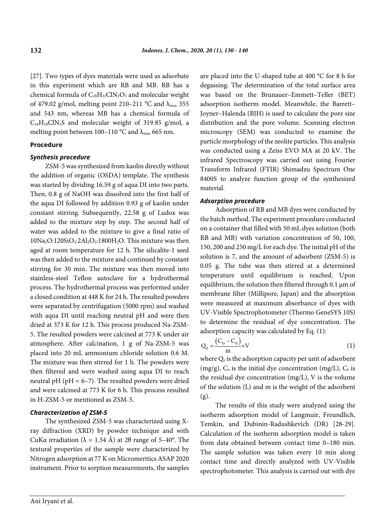[27]. Two types of dyes materials were used as adsorbate in this experiment which are RB and MB. RB has a chemical formula of  $C_{28}H_{31}C\cdot N_2O_3$  and molecular weight of 479.02 g/mol, melting point 210–211 °C and  $\lambda_{\text{max}}$  355 and 543 nm, whereas MB has a chemical formula of  $C_{16}H_{18}CN_3S$  and molecular weight of 319.85 g/mol, a melting point between 100–110 °C and  $\lambda_{\text{max}}$  665 nm.

## **Procedure**

#### *Synthesis procedure*

ZSM-5 was synthesized from kaolin directly without the addition of organic (OSDA) template. The synthesis was started by dividing 16.59 g of aqua DI into two parts. Then, 0.8 g of NaOH was dissolved into the first half of the aqua DI followed by addition 0.93 g of kaolin under constant stirring. Subsequently, 22.58 g of Ludox was added to the mixture step by step. The second half of water was added to the mixture to give a final ratio of  $10Na<sub>2</sub>O:120SiO<sub>2</sub>:2Al<sub>2</sub>O<sub>3</sub>:1800H<sub>2</sub>O.$  This mixture was then aged at room temperature for 12 h. The silicalite-1 seed was then added to the mixture and continued by constant stirring for 30 min. The mixture was then moved into stainless-steel Teflon autoclave for a hydrothermal process. The hydrothermal process was performed under a closed condition at 448 K for 24 h. The resulted powders were separated by centrifugation (5000 rpm) and washed with aqua DI until reaching neutral pH and were then dried at 373 K for 12 h. This process produced Na-ZSM-5. The resulted powders were calcined at 773 K under air atmosphere. After calcination, 1 g of Na-ZSM-5 was placed into 20 mL ammonium chloride solution 0.6 M. The mixture was then stirred for 1 h. The powders were then filtered and were washed using aqua DI to reach neutral pH (pH =  $6-7$ ). The resulted powders were dried and were calcined at 773 K for 6 h. This process resulted in H-ZSM-5 or mentioned as ZSM-5.

# *Characterization of ZSM-5*

The synthesized ZSM-5 was characterized using Xray diffraction (XRD) by powder technique and with CuKα irradiation (λ = 1.54 Å) at 2θ range of 5–40°. The textural properties of the sample were characterized by Nitrogen adsorption at 77 K on Micromeritics ASAP 2020 instrument. Prior to sorption measurements, the samples are placed into the U-shaped tube at 400 °C for 8 h for degassing. The determination of the total surface area was based on the Brunauer–Emmett–Teller (BET) adsorption isotherm model. Meanwhile, the Barrett– Joyner–Halenda (BJH) is used to calculate the pore size distribution and the pore volume. Scanning electron microscopy (SEM) was conducted to examine the particle morphology of the zeolite particles. This analysis was conducted using a Zeiss EVO MA at 20 kV. The infrared Spectroscopy was carried out using Fourier Transform Infrared (FTIR) Shimadzu Spectrum One 8400S to analyze function group of the synthesized material.

#### *Adsorption procedure*

Adsorption of RB and MB dyes were conducted by the batch method. The experiment procedure conducted on a container that filled with 50 mL dyes solution (both RB and MB) with variation concentration of 50, 100, 150, 200 and 250 mg/L for each dye. The initial pH of the solution is 7, and the amount of adsorbent (ZSM-5) is 0.05 g. The tube was then stirred at a determined temperature until equilibrium is reached. Upon equilibrium, the solution then filtered through 0.1 μm of membrane filter (Millipore, Japan) and the absorption were measured at maximum absorbance of dyes with UV-Visible Spectrophotometer (Thermo GeneSYS 10S) to determine the residual of dye concentration. The adsorption capacity was calculated by Eq. (1):

$$
Q_e = \frac{(C_o - C_e)}{m} \times V
$$
 (1)

where Qe is the adsorption capacity per unit of adsorbent  $(mg/g)$ ,  $C_0$  is the initial dye concentration  $(mg/L)$ ,  $C_e$  is the residual dye concentration (mg/L), V is the volume of the solution (L) and m is the weight of the adsorbent (g).

The results of this study were analyzed using the isotherm adsorption model of Langmuir, Freundlich, Temkin, and Dubinin-Radushkevich (DR) [28-29]. Calculation of the isotherm adsorption model is taken from data obtained between contact time 0–180 min. The sample solution was taken every 10 min along contact time and directly analyzed with UV-Visible spectrophotometer. This analysis is carried out with dye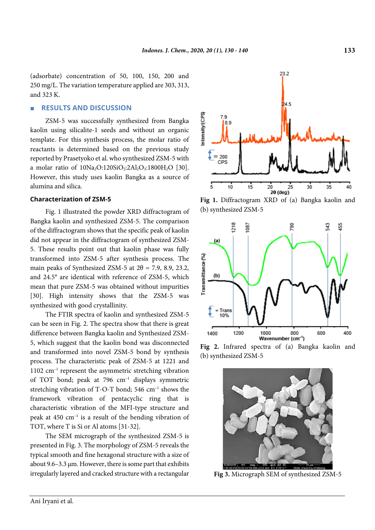(adsorbate) concentration of 50, 100, 150, 200 and 250 mg/L. The variation temperature applied are 303, 313, and 323 K.

## ■ **RESULTS AND DISCUSSION**

ZSM-5 was successfully synthesized from Bangka kaolin using silicalite-1 seeds and without an organic template. For this synthesis process, the molar ratio of reactants is determined based on the previous study reported by Prasetyoko et al. who synthesized ZSM-5 with a molar ratio of  $10Na<sub>2</sub>O:120SiO<sub>2</sub>:2Al<sub>2</sub>O<sub>3</sub>:1800H<sub>2</sub>O$  [30]. However, this study uses kaolin Bangka as a source of alumina and silica.

#### **Characterization of ZSM-5**

Fig. 1 illustrated the powder XRD diffractogram of Bangka kaolin and synthesized ZSM-5. The comparison of the diffractogram shows that the specific peak of kaolin did not appear in the diffractogram of synthesized ZSM-5. These results point out that kaolin phase was fully transformed into ZSM-5 after synthesis process. The main peaks of Synthesized ZSM-5 at  $2\theta$  = 7.9, 8.9, 23.2, and 24.5° are identical with reference of ZSM-5, which mean that pure ZSM-5 was obtained without impurities [30]. High intensity shows that the ZSM-5 was synthesized with good crystallinity.

The FTIR spectra of kaolin and synthesized ZSM-5 can be seen in Fig. 2. The spectra show that there is great difference between Bangka kaolin and Synthesized ZSM-5, which suggest that the kaolin bond was disconnected and transformed into novel ZSM-5 bond by synthesis process. The characteristic peak of ZSM-5 at 1221 and 1102 cm–1 represent the asymmetric stretching vibration of TOT bond; peak at 796 cm–1 displays symmetric stretching vibration of T-O-T bond; 546  $cm^{-1}$  shows the framework vibration of pentacyclic ring that is characteristic vibration of the MFI-type structure and peak at 450  $cm^{-1}$  is a result of the bending vibration of TOT, where T is Si or Al atoms [31-32].

The SEM micrograph of the synthesized ZSM-5 is presented in Fig. 3. The morphology of ZSM-5 reveals the typical smooth and fine hexagonal structure with a size of about 9.6–3.3  $\mu$ m. However, there is some part that exhibits irregularly layered and cracked structure with a rectangular



**Fig 1.** Diffractogram XRD of (a) Bangka kaolin and (b) synthesized ZSM-5



**Fig 2.** Infrared spectra of (a) Bangka kaolin and (b) synthesized ZSM-5



**Fig 3.** Micrograph SEM of synthesized ZSM-5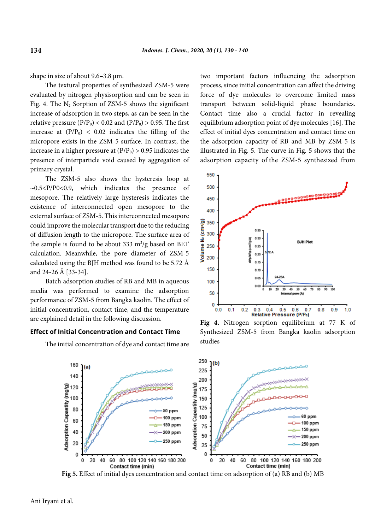shape in size of about 9.6–3.8 µm.

The textural properties of synthesized ZSM-5 were evaluated by nitrogen physisorption and can be seen in Fig. 4. The  $N_2$  Sorption of ZSM-5 shows the significant increase of adsorption in two steps, as can be seen in the relative pressure ( $P/P_0$ ) < 0.02 and ( $P/P_0$ ) > 0.95. The first increase at  $(P/P_0)$  < 0.02 indicates the filling of the micropore exists in the ZSM-5 surface. In contrast, the increase in a higher pressure at  $(P/P_0) > 0.95$  indicates the presence of interparticle void caused by aggregation of primary crystal.

The ZSM-5 also shows the hysteresis loop at ~0.5<P/P0<0.9, which indicates the presence of mesopore. The relatively large hysteresis indicates the existence of interconnected open mesopore to the external surface of ZSM-5. This interconnected mesopore could improve the molecular transport due to the reducing of diffusion length to the micropore. The surface area of the sample is found to be about 333  $m^2/g$  based on BET calculation. Meanwhile, the pore diameter of ZSM-5 calculated using the BJH method was found to be 5.72 Å and 24-26 Å [33-34].

Batch adsorption studies of RB and MB in aqueous media was performed to examine the adsorption performance of ZSM-5 from Bangka kaolin. The effect of initial concentration, contact time, and the temperature are explained detail in the following discussion.

#### **Effect of Initial Concentration and Contact Time**

The initial concentration of dye and contact time are

two important factors influencing the adsorption process, since initial concentration can affect the driving force of dye molecules to overcome limited mass transport between solid-liquid phase boundaries. Contact time also a crucial factor in revealing equilibrium adsorption point of dye molecules [16]. The effect of initial dyes concentration and contact time on the adsorption capacity of RB and MB by ZSM-5 is illustrated in Fig. 5. The curve in Fig. 5 shows that the adsorption capacity of the ZSM-5 synthesized from



**Fig 4.** Nitrogen sorption equilibrium at 77 K of Synthesized ZSM-5 from Bangka kaolin adsorption studies



**Fig 5.** Effect of initial dyes concentration and contact time on adsorption of (a) RB and (b) MB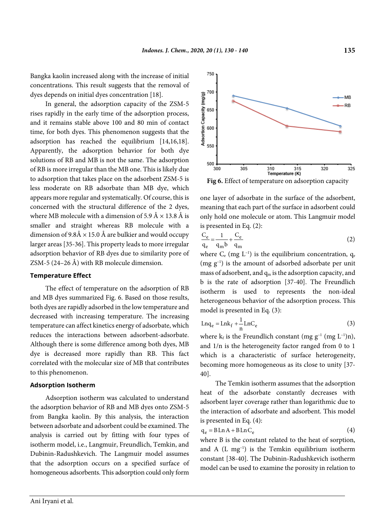Bangka kaolin increased along with the increase of initial concentrations. This result suggests that the removal of dyes depends on initial dyes concentration [18].

In general, the adsorption capacity of the ZSM-5 rises rapidly in the early time of the adsorption process, and it remains stable above 100 and 80 min of contact time, for both dyes. This phenomenon suggests that the adsorption has reached the equilibrium [14,16,18]. Apparently, the adsorption behavior for both dye solutions of RB and MB is not the same. The adsorption of RB is more irregular than the MB one. This is likely due to adsorption that takes place on the adsorbent ZSM-5 is less moderate on RB adsorbate than MB dye, which appears more regular and systematically. Of course, this is concerned with the structural difference of the 2 dyes, where MB molecule with a dimension of 5.9 Å  $\times$  13.8 Å is smaller and straight whereas RB molecule with a dimension of  $9.8\text{\AA} \times 15.0\text{\AA}$  are bulkier and would occupy larger areas [35-36]. This property leads to more irregular adsorption behavior of RB dyes due to similarity pore of ZSM-5 (24–26 Å) with RB molecule dimension.

## **Temperature Effect**

The effect of temperature on the adsorption of RB and MB dyes summarized Fig. 6. Based on those results, both dyes are rapidly adsorbed in the low temperature and decreased with increasing temperature. The increasing temperature can affect kinetics energy of adsorbate, which reduces the interactions between adsorbent-adsorbate. Although there is some difference among both dyes, MB dye is decreased more rapidly than RB. This fact correlated with the molecular size of MB that contributes to this phenomenon.

#### **Adsorption Isotherm**

Adsorption isotherm was calculated to understand the adsorption behavior of RB and MB dyes onto ZSM-5 from Bangka kaolin. By this analysis, the interaction between adsorbate and adsorbent could be examined. The analysis is carried out by fitting with four types of isotherm model, i.e., Langmuir, Freundlich, Temkin, and Dubinin-Radushkevich. The Langmuir model assumes that the adsorption occurs on a specified surface of homogeneous adsorbents. This adsorption could only form



one layer of adsorbate in the surface of the adsorbent, meaning that each part of the surface in adsorbent could only hold one molecule or atom. This Langmuir model is presented in Eq. (2):

$$
\frac{C_e}{q_e} = \frac{1}{q_m b} + \frac{C_e}{q_m} \tag{2}
$$

where  $C_e$  (mg L<sup>-1</sup>) is the equilibrium concentration,  $q_e$ (mg g–1 ) is the amount of adsorbed adsorbate per unit mass of adsorbent, and  $q_m$  is the adsorption capacity, and b is the rate of adsorption [37-40]. The Freundlich isotherm is used to represents the non-ideal heterogeneous behavior of the adsorption process. This model is presented in Eq. (3):

$$
Lnq_e = Lnk_f + \frac{1}{n}LnC_e
$$
 (3)

where  $k_f$  is the Freundlich constant (mg  $g^{-1}$  (mg  $L^{-1}$ )n), and 1/n is the heterogeneity factor ranged from 0 to 1 which is a characteristic of surface heterogeneity, becoming more homogeneous as its close to unity [37- 40].

The Temkin isotherm assumes that the adsorption heat of the adsorbate constantly decreases with adsorbent layer coverage rather than logarithmic due to the interaction of adsorbate and adsorbent. This model is presented in Eq. (4):

$$
q_e = B \ln A + B \ln C_e \tag{4}
$$

where B is the constant related to the heat of sorption, and A  $(L mg^{-1})$  is the Temkin equilibrium isotherm constant [38-40]. The Dubinin-Radushkevich isotherm model can be used to examine the porosity in relation to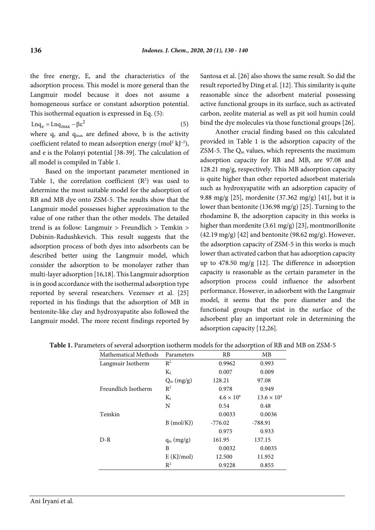the free energy, E, and the characteristics of the adsorption process. This model is more general than the Langmuir model because it does not assume a homogeneous surface or constant adsorption potential. This isothermal equation is expressed in Eq. (5):

 $\text{Lnq}_e = \text{Lnq}_{\text{max}} - \beta \varepsilon^2$  (5) where  $q_e$  and  $q_{max}$  are defined above, b is the activity coefficient related to mean adsorption energy (mol<sup>2</sup>  $\text{kJ}^{-2}$ ), and e is the Polanyi potential [38-39]. The calculation of all model is compiled in Table 1.

Based on the important parameter mentioned in Table 1, the correlation coefficient  $(R^2)$  was used to determine the most suitable model for the adsorption of RB and MB dye onto ZSM-5. The results show that the Langmuir model possesses higher approximation to the value of one rather than the other models. The detailed trend is as follow: Langmuir > Freundlich > Temkin > Dubinin-Radushkevich. This result suggests that the adsorption process of both dyes into adsorbents can be described better using the Langmuir model, which consider the adsorption to be monolayer rather than multi-layer adsorption [16,18]. This Langmuir adsorption is in good accordance with the isothermal adsorption type reported by several researchers. Vezensev et al. [25] reported in his findings that the adsorption of MB in bentonite-like clay and hydroxyapatite also followed the Langmuir model. The more recent findings reported by

Santosa et al. [26] also shows the same result. So did the result reported by Ding et al. [12]. This similarity is quite reasonable since the adsorbent material possessing active functional groups in its surface, such as activated carbon, zeolite material as well as pit soil humin could bind the dye molecules via those functional groups [26].

Another crucial finding based on this calculated provided in Table 1 is the adsorption capacity of the ZSM-5. The  $Q_m$  values, which represents the maximum adsorption capacity for RB and MB, are 97.08 and 128.21 mg/g, respectively. This MB adsorption capacity is quite higher than other reported adsorbent materials such as hydroxyapatite with an adsorption capacity of 9.88 mg/g [25], mordenite (37.362 mg/g) [41], but it is lower than bentonite (136.98 mg/g) [25]. Turning to the rhodamine B, the adsorption capacity in this works is higher than mordenite (3.61 mg/g) [23], montmorillonite (42.19 mg/g) [42] and bentonite (98.62 mg/g). However, the adsorption capacity of ZSM-5 in this works is much lower than activated carbon that has adsorption capacity up to 478.50 mg/g [12]. The difference in adsorption capacity is reasonable as the certain parameter in the adsorption process could influence the adsorbent performance. However, in adsorbent with the Langmuir model, it seems that the pore diameter and the functional groups that exist in the surface of the adsorbent play an important role in determining the adsorption capacity [12,26].

| ш                    |                |                     | л.                   |
|----------------------|----------------|---------------------|----------------------|
| Mathematical Methods | Parameters     | RB                  | MВ                   |
| Langmuir Isotherm    | $\mathbb{R}^2$ | 0.9962              | 0.993                |
|                      | $K_{L}$        | 0.007               | 0.009                |
|                      | $Q_m (mg/g)$   | 128.21              | 97.08                |
| Freundlich Isotherm  | $R^2$          | 0.978               | 0.949                |
|                      | $K_f$          | $4.6 \times 10^{6}$ | $13.6 \times 10^{4}$ |
|                      | N              | 0.54                | 0.48                 |
| Temkin               |                | 0.0033              | 0.0036               |
|                      | $B \pmod{K}$   | $-776.02$           | -788.91              |
|                      |                | 0.975               | 0.933                |
| $D-R$                | $q_m$ (mg/g)   | 161.95              | 137.15               |
|                      | B              | 0.0032              | 0.0035               |
|                      | E(KJ/mol)      | 12.500              | 11.952               |
|                      | $\mathbb{R}^2$ | 0.9228              | 0.855                |

**Table 1.** Parameters of several adsorption isotherm models for the adsorption of RB and MB on ZSM-5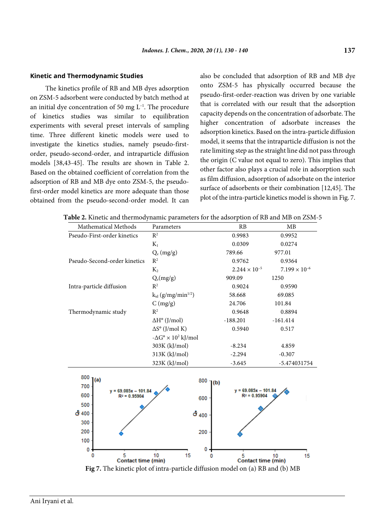#### **Kinetic and Thermodynamic Studies**

The kinetics profile of RB and MB dyes adsorption on ZSM-5 adsorbent were conducted by batch method at an initial dye concentration of 50 mg  $L^{-1}$ . The procedure of kinetics studies was similar to equilibration experiments with several preset intervals of sampling time. Three different kinetic models were used to investigate the kinetics studies, namely pseudo-firstorder, pseudo-second-order, and intraparticle diffusion models [38,43-45]. The results are shown in Table 2. Based on the obtained coefficient of correlation from the adsorption of RB and MB dye onto ZSM-5, the pseudofirst-order model kinetics are more adequate than those obtained from the pseudo-second-order model. It can

also be concluded that adsorption of RB and MB dye onto ZSM-5 has physically occurred because the pseudo-first-order-reaction was driven by one variable that is correlated with our result that the adsorption capacity depends on the concentration of adsorbate. The higher concentration of adsorbate increases the adsorption kinetics. Based on the intra-particle diffusion model, it seems that the intraparticle diffusion is not the rate limiting step as the straight line did not pass through the origin (C value not equal to zero). This implies that other factor also plays a crucial role in adsorption such as film diffusion, adsorption of adsorbate on the interior surface of adsorbents or their combination [12,45]. The plot of the intra-particle kinetics model is shown in Fig. 7.

| Parameters                             | RB                     | MB                                                                                    |
|----------------------------------------|------------------------|---------------------------------------------------------------------------------------|
| $\mathbb{R}^2$                         | 0.9983                 | 0.9952                                                                                |
| $K_1$                                  | 0.0309                 | 0.0274                                                                                |
| $Q_e (mg/g)$                           | 789.66                 | 977.01                                                                                |
| $R^2$                                  | 0.9762                 | 0.9364                                                                                |
| $K_2$                                  | $2.244 \times 10^{-5}$ | $7.199 \times 10^{-6}$                                                                |
| $Q_e(mg/g)$                            | 909.09                 | 1250                                                                                  |
| $R^2$                                  | 0.9024                 | 0.9590                                                                                |
| $k_{id}$ (g/mg/min <sup>1/2</sup> )    | 58.668                 | 69.085                                                                                |
| C (mg/g)                               | 24.706                 | 101.84                                                                                |
| $R^2$                                  | 0.9648                 | 0.8894                                                                                |
| $\Delta H^{\circ}$ (J/mol)             | $-188.201$             | $-161.414$                                                                            |
| $\Delta S^{\circ}$ (J/mol K)           | 0.5940                 | 0.517                                                                                 |
| $-\Delta G^{\circ} \times 10^2$ kJ/mol |                        |                                                                                       |
| 303K (kJ/mol)                          | $-8.234$               | 4.859                                                                                 |
| 313K (kJ/mol)                          | $-2.294$               | $-0.307$                                                                              |
| 323K (kJ/mol)                          | $-3.645$               | -5.474031754                                                                          |
|                                        |                        |                                                                                       |
| $800$ $($ a)<br>$y = 69.085x - 101.84$ |                        |                                                                                       |
|                                        |                        |                                                                                       |
|                                        |                        |                                                                                       |
|                                        |                        |                                                                                       |
|                                        |                        |                                                                                       |
|                                        |                        |                                                                                       |
|                                        |                        |                                                                                       |
|                                        |                        |                                                                                       |
|                                        |                        | $800$ $1(b)$<br>$y = 69.085x - 101.84$<br>$R^2 = 0.95904$<br>600<br>ේ 400<br>200<br>0 |

**Table 2.** Kinetic and thermodynamic parameters for the adsorption of RB and MB on ZSM-5

**Fig 7.** The kinetic plot of intra-particle diffusion model on (a) RB and (b) MB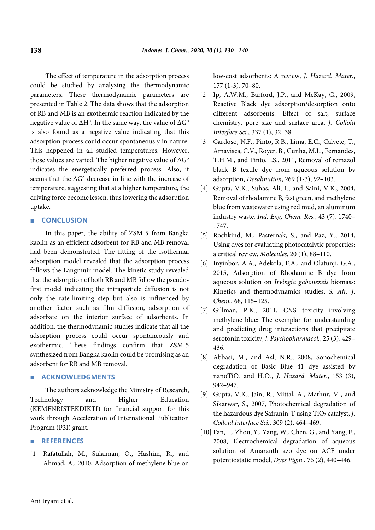The effect of temperature in the adsorption process could be studied by analyzing the thermodynamic parameters. These thermodynamic parameters are presented in Table 2. The data shows that the adsorption of RB and MB is an exothermic reaction indicated by the negative value of ∆H°. In the same way, the value of ∆G° is also found as a negative value indicating that this adsorption process could occur spontaneously in nature. This happened in all studied temperatures. However, those values are varied. The higher negative value of ∆G° indicates the energetically preferred process. Also, it seems that the ∆G° decrease in line with the increase of temperature, suggesting that at a higher temperature, the driving force become lessen, thus lowering the adsorption uptake.

# ■ **CONCLUSION**

In this paper, the ability of ZSM-5 from Bangka kaolin as an efficient adsorbent for RB and MB removal had been demonstrated. The fitting of the isothermal adsorption model revealed that the adsorption process follows the Langmuir model. The kinetic study revealed that the adsorption of both RB and MB follow the pseudofirst model indicating the intraparticle diffusion is not only the rate-limiting step but also is influenced by another factor such as film diffusion, adsorption of adsorbate on the interior surface of adsorbents. In addition, the thermodynamic studies indicate that all the adsorption process could occur spontaneously and exothermic. These findings confirm that ZSM-5 synthesized from Bangka kaolin could be promising as an adsorbent for RB and MB removal.

# ■ **ACKNOWLEDGMENTS**

The authors acknowledge the Ministry of Research, Technology and Higher Education (KEMENRISTEKDIKTI) for financial support for this work through Acceleration of International Publication Program (P3I) grant.

# ■ **REFERENCES**

[1] Rafatullah, M., Sulaiman, O., Hashim, R., and Ahmad, A., 2010, Adsorption of methylene blue on low-cost adsorbents: A review, *J. Hazard. Mater.*, 177 (1-3), 70–80.

- [2] Ip, A.W.M., Barford, J.P., and McKay, G., 2009, Reactive Black dye adsorption/desorption onto different adsorbents: Effect of salt, surface chemistry, pore size and surface area, *J. Colloid Interface Sci.,* 337 (1), 32–38.
- [3] Cardoso, N.F., Pinto, R.B., Lima, E.C., Calvete, T., Amavisca, C.V., Royer, B., Cunha, M.L., Fernandes, T.H.M., and Pinto, I.S., 2011, Removal of remazol black B textile dye from aqueous solution by adsorption, *Desalination*, 269 (1-3), 92–103.
- [4] Gupta, V.K., Suhas, Ali, I., and Saini, V.K., 2004, Removal of rhodamine B, fast green, and methylene blue from wastewater using red mud, an aluminum industry waste, *Ind. Eng. Chem. Res.*, 43 (7), 1740– 1747.
- [5] Rochkind, M., Pasternak, S., and Paz, Y., 2014, Using dyes for evaluating photocatalytic properties: a critical review, *Molecules*, 20 (1), 88–110.
- [6] Inyinbor, A.A., Adekola, F.A., and Olatunji, G.A., 2015, Adsorption of Rhodamine B dye from aqueous solution on *Irvingia gabonensis* biomass: Kinetics and thermodynamics studies, *S. Afr. J. Chem.*, 68, 115–125.
- [7] Gillman, P.K., 2011, CNS toxicity involving methylene blue: The exemplar for understanding and predicting drug interactions that precipitate serotonin toxicity, *J. Psychopharmacol.*, 25 (3), 429– 436.
- [8] Abbasi, M., and Asl, N.R., 2008, Sonochemical degradation of Basic Blue 41 dye assisted by nano $TiO<sub>2</sub>$  and  $H<sub>2</sub>O<sub>2</sub>$ , *J. Hazard. Mater.*, 153 (3), 942–947.
- [9] Gupta, V.K., Jain, R., Mittal, A., Mathur, M., and Sikarwar, S., 2007, Photochemical degradation of the hazardous dye Safranin-T using TiO<sub>2</sub> catalyst, *J*. *Colloid Interface Sci.*, 309 (2), 464–469.
- [10] Fan, L., Zhou, Y., Yang, W., Chen, G., and Yang, F., 2008, Electrochemical degradation of aqueous solution of Amaranth azo dye on ACF under potentiostatic model, *Dyes Pigm.*, 76 (2), 440–446.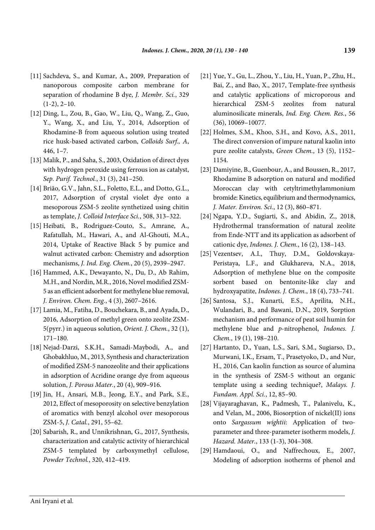- [11] Sachdeva, S., and Kumar, A., 2009, Preparation of nanoporous composite carbon membrane for separation of rhodamine B dye, *J. Membr. Sci.*, 329  $(1-2)$ ,  $2-10$ .
- [12] Ding, L., Zou, B., Gao, W., Liu, Q., Wang, Z., Guo, Y., Wang, X., and Liu, Y., 2014, Adsorption of Rhodamine-B from aqueous solution using treated rice husk-based activated carbon, *Colloids Surf., A*, 446, 1–7.
- [13] Malik, P., and Saha, S., 2003, Oxidation of direct dyes with hydrogen peroxide using ferrous ion as catalyst, *Sep. Purif. Technol.*, 31 (3), 241–250.
- [14] Brião, G.V., Jahn, S.L., Foletto, E.L., and Dotto, G.L., 2017, Adsorption of crystal violet dye onto a mesoporous ZSM-5 zeolite synthetized using chitin as template, *J. Colloid Interface Sci.*, 508, 313–322.
- [15] Heibati, B., Rodriguez-Couto, S., Amrane, A., Rafatullah, M., Hawari, A., and Al-Ghouti, M.A., 2014, Uptake of Reactive Black 5 by pumice and walnut activated carbon: Chemistry and adsorption mechanisms, *J. Ind. Eng. Chem.*, 20 (5), 2939–2947.
- [16] Hammed, A.K., Dewayanto, N., Du, D., Ab Rahim, M.H., and Nordin, M.R., 2016, Novel modified ZSM-5 as an efficient adsorbent for methylene blue removal, *J. Environ. Chem. Eng.*, 4 (3), 2607–2616.
- [17] Lamia, M., Fatiha, D., Bouchekara, B., and Ayada, D., 2016, Adsorption of methyl green onto zeolite ZSM-5(pyrr.) in aqueous solution, *Orient. J. Chem.*, 32 (1), 171–180.
- [18] Nejad-Darzi, S.K.H., Samadi-Maybodi, A., and Ghobakhluo, M., 2013, Synthesis and characterization of modified ZSM-5 nanozeolite and their applications in adsorption of Acridine orange dye from aqueous solution, *J. Porous Mater.*, 20 (4), 909–916.
- [19] Jin, H., Ansari, M.B., Jeong, E.Y., and Park, S.E., 2012, Effect of mesoporosity on selective benzylation of aromatics with benzyl alcohol over mesoporous ZSM-5, *J. Catal.*, 291, 55–62.
- [20] Sabarish, R., and Unnikrishnan, G., 2017, Synthesis, characterization and catalytic activity of hierarchical ZSM-5 templated by carboxymethyl cellulose, *Powder Technol.*, 320, 412–419.
- [21] Yue, Y., Gu, L., Zhou, Y., Liu, H., Yuan, P., Zhu, H., Bai, Z., and Bao, X., 2017, Template-free synthesis and catalytic applications of microporous and hierarchical ZSM-5 zeolites from natural aluminosilicate minerals, *Ind. Eng. Chem. Res.*, 56 (36), 10069–10077.
- [22] Holmes, S.M., Khoo, S.H., and Kovo, A.S., 2011, The direct conversion of impure natural kaolin into pure zeolite catalysts, *Green Chem.*, 13 (5), 1152– 1154.
- [23] Damiyine, B., Guenbour, A., and Boussen, R., 2017, Rhodamine B adsorption on natural and modified Moroccan clay with cetyltrimethylammonium bromide: Kinetics, equilibrium and thermodynamics, *J. Mater. Environ. Sci.*, 12 (3), 860–871.
- [24] Ngapa, Y.D., Sugiarti, S., and Abidin, Z., 2018, Hydrothermal transformation of natural zeolite from Ende-NTT and its application as adsorbent of cationic dye, *Indones. J. Chem.*, 16 (2), 138–143.
- [25] Vezentsev, A.I., Thuy, D.M., Goldovskaya-Peristaya, L.F., and Glukhareva, N.A., 2018, Adsorption of methylene blue on the composite sorbent based on bentonite-like clay and hydroxyapatite, *Indones. J. Chem.*, 18 (4), 733–741.
- [26] Santosa, S.J., Kunarti, E.S., Aprilita, N.H., Wulandari, B., and Bawani, D.N., 2019, Sorption mechanism and performance of peat soil humin for methylene blue and *p*-nitrophenol, *Indones. J. Chem.*, 19 (1), 198–210.
- [27] Hartanto, D., Yuan, L.S., Sari, S.M., Sugiarso, D., Murwani, I.K., Ersam, T., Prasetyoko, D., and Nur, H., 2016, Can kaolin function as source of alumina in the synthesis of ZSM-5 without an organic template using a seeding technique?, *Malays. J. Fundam. Appl. Sci.*, 12, 85–90.
- [28] Vijayaraghavan, K., Padmesh, T., Palanivelu, K., and Velan, M., 2006, Biosorption of nickel(II) ions onto *Sargassum wightii*: Application of twoparameter and three-parameter isotherm models, *J. Hazard. Mater.*, 133 (1-3), 304–308.
- [29] Hamdaoui, O., and Naffrechoux, E., 2007, Modeling of adsorption isotherms of phenol and